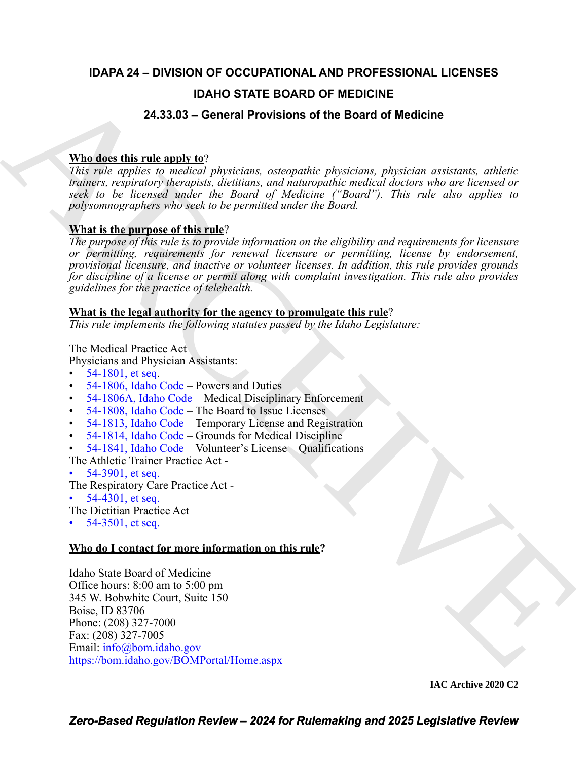## **IDAPA 24 – DIVISION OF OCCUPATIONAL AND PROFESSIONAL LICENSES**

### **IDAHO STATE BOARD OF MEDICINE**

### **24.33.03 – General Provisions of the Board of Medicine**

### **Who does this rule apply to**?

*This rule applies to medical physicians, osteopathic physicians, physician assistants, athletic trainers, respiratory therapists, dietitians, and naturopathic medical doctors who are licensed or seek to be licensed under the Board of Medicine ("Board"). This rule also applies to polysomnographers who seek to be permitted under the Board.* 

#### **What is the purpose of this rule**?

**IDAHO STATE BOARD OF MEDI[C](https://legislature.idaho.gov/statutesrules/idstat/Title54/T54CH18/SECT54-1806/)IN[E](mailto:info@bom.idaho.gov)**<br>
24.33.03 - General Provisions of the Board of Medicine<br>
This rate applies to reaction physicians, interpartic physicians revistions, additionally<br>
This rate applies to reaction physicians, *The purpose of this rule is to provide information on the eligibility and requirements for licensure or permitting, requirements for renewal licensure or permitting, license by endorsement, provisional licensure, and inactive or volunteer licenses. In addition, this rule provides grounds for discipline of a license or permit along with complaint investigation. This rule also provides guidelines for the practice of telehealth.*

#### **What is the legal authority for the agency to promulgate this rule**?

*This rule implements the following statutes passed by the Idaho Legislature:*

The Medical Practice Act

- Physicians and Physician Assistants:
- 54-1801, et seq.
- 54-1806, Idaho Code Powers and Duties
- 54-1806A, Idaho Code Medical Disciplinary Enforcement
- 54-1808, Idaho Code The Board to Issue Licenses
- 54-1813, Idaho Code Temporary License and Registration
- 54-1814, Idaho Code Grounds for Medical Discipline
- 54-1841, Idaho Code Volunteer's License Qualifications

The Athletic Trainer Practice Act -

- 54-3901, et seq.
- The Respiratory Care Practice Act -
- $54-4301$ , et seq.

The Dietitian Practice Act

•  $54-3501$ , et seq.

#### **Who do I contact for more information on this rule?**

Idaho State Board of Medicine Office hours: 8:00 am to 5:00 pm 345 W. Bobwhite Court, Suite 150 Boise, ID 83706 Phone: (208) 327-7000 Fax: (208) 327-7005 Email: info@bom.idaho.gov https://bom.idaho.gov/BOMPortal/Home.aspx

**IAC Archive 2020 C2**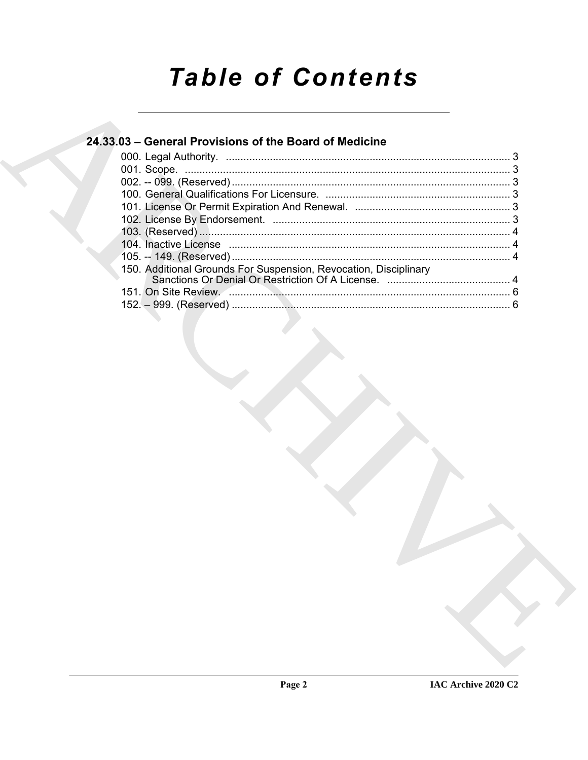# **Table of Contents**

| 24.33.03 – General Provisions of the Board of Medicine           |  |
|------------------------------------------------------------------|--|
|                                                                  |  |
|                                                                  |  |
|                                                                  |  |
|                                                                  |  |
|                                                                  |  |
|                                                                  |  |
|                                                                  |  |
|                                                                  |  |
|                                                                  |  |
| 150. Additional Grounds For Suspension, Revocation, Disciplinary |  |
|                                                                  |  |
|                                                                  |  |
|                                                                  |  |
|                                                                  |  |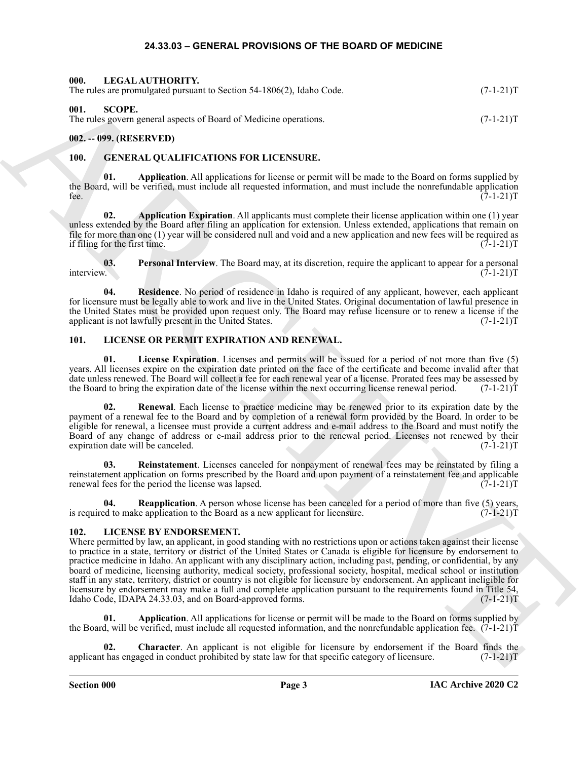#### **24.33.03 – GENERAL PROVISIONS OF THE BOARD OF MEDICINE**

<span id="page-2-18"></span><span id="page-2-11"></span><span id="page-2-2"></span><span id="page-2-1"></span><span id="page-2-0"></span>

| 000. LEGAL AUTHORITY.<br>The rules are promulgated pursuant to Section 54-1806(2), Idaho Code. | $(7-1-21)T$ |
|------------------------------------------------------------------------------------------------|-------------|
| 001.<br>– SCOPE.<br>The rules govern general aspects of Board of Medicine operations.          | $(7-1-21)T$ |

#### <span id="page-2-3"></span>**002. -- 099. (RESERVED)**

#### <span id="page-2-7"></span><span id="page-2-4"></span>**100. GENERAL QUALIFICATIONS FOR LICENSURE.**

<span id="page-2-8"></span>**01. Application**. All applications for license or permit will be made to the Board on forms supplied by the Board, will be verified, must include all requested information, and must include the nonrefundable application fee.  $(7-1-21)T$ 

<span id="page-2-9"></span>**02. Application Expiration**. All applicants must complete their license application within one (1) year unless extended by the Board after filing an application for extension. Unless extended, applications that remain on file for more than one (1) year will be considered null and void and a new application and new fees will be required as if filing for the first time.  $(7-1-21)T$ 

**03.** Personal Interview. The Board may, at its discretion, require the applicant to appear for a personal interview.  $(7-1-21)T$ interview. (7-1-21)T

<span id="page-2-10"></span>**04. Residence**. No period of residence in Idaho is required of any applicant, however, each applicant for licensure must be legally able to work and live in the United States. Original documentation of lawful presence in the United States must be provided upon request only. The Board may refuse licensure or to renew a license if the applicant is not lawfully present in the United States. (7-1-21)T

#### <span id="page-2-5"></span>**101. LICENSE OR PERMIT EXPIRATION AND RENEWAL.**

<span id="page-2-15"></span>**01. License Expiration**. Licenses and permits will be issued for a period of not more than five (5) years. All licenses expire on the expiration date printed on the face of the certificate and become invalid after that date unless renewed. The Board will collect a fee for each renewal year of a license. Prorated fees may be assessed by the Board to bring the expiration date of the license within the next occurring license renewal period. the Board to bring the expiration date of the license within the next occurring license renewal period.

<span id="page-2-17"></span>**02. Renewal**. Each license to practice medicine may be renewed prior to its expiration date by the payment of a renewal fee to the Board and by completion of a renewal form provided by the Board. In order to be eligible for renewal, a licensee must provide a current address and e-mail address to the Board and must notify the Board of any change of address or e-mail address prior to the renewal period. Licenses not renewed by their expiration date will be canceled. (7-1-21)T

<span id="page-2-16"></span>**03. Reinstatement**. Licenses canceled for nonpayment of renewal fees may be reinstated by filing a reinstatement application on forms prescribed by the Board and upon payment of a reinstatement fee and applicable renewal fees for the period the license was lapsed. (7-1-21) renewal fees for the period the license was lapsed.

**Reapplication**. A person whose license has been canceled for a period of more than five (5) years, is required to make application to the Board as a new applicant for licensure. (7-1-21) T

#### <span id="page-2-12"></span><span id="page-2-6"></span>**102. LICENSE BY ENDORSEMENT.**

The stress constraints of Society 3-4 RSCL blanks Cool.<br>
01. SCOPE<br>
URL SCOPE (1990) and the baseline operations<br>
(1991-2117<br>
1992-1993) (ILSSLIN ED)<br>
1993. The stress constraints of the stress constraints of the stress c Where permitted by law, an applicant, in good standing with no restrictions upon or actions taken against their license to practice in a state, territory or district of the United States or Canada is eligible for licensure by endorsement to practice medicine in Idaho. An applicant with any disciplinary action, including past, pending, or confidential, by any board of medicine, licensing authority, medical society, professional society, hospital, medical school or institution staff in any state, territory, district or country is not eligible for licensure by endorsement. An applicant ineligible for licensure by endorsement may make a full and complete application pursuant to the requirements found in Title 54, Idaho Code, IDAPA 24.33.03, and on Board-approved forms. (7-1-21)T

<span id="page-2-13"></span>**01. Application**. All applications for license or permit will be made to the Board on forms supplied by the Board, will be verified, must include all requested information, and the nonrefundable application fee.  $(7-1-21)$ T

<span id="page-2-14"></span>**02. Character**. An applicant is not eligible for licensure by endorsement if the Board finds the applicant has engaged in conduct prohibited by state law for that specific category of licensure. (7-1-21)T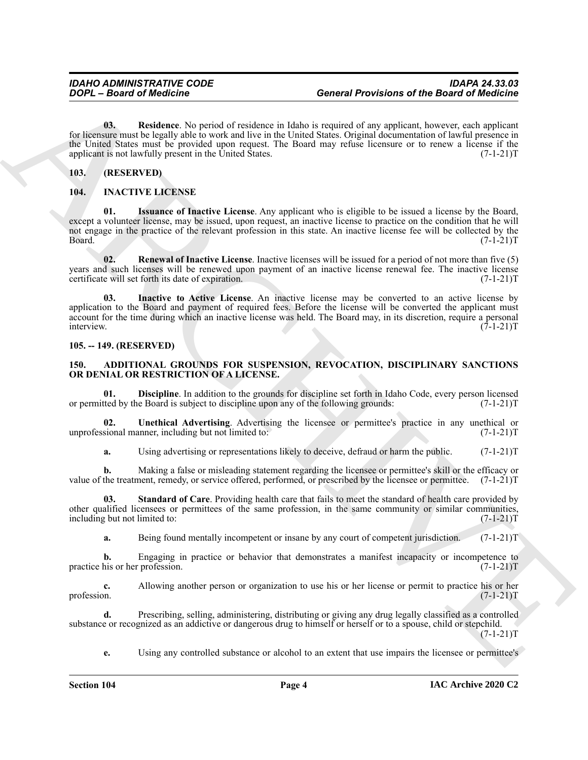<span id="page-3-12"></span>**03. Residence**. No period of residence in Idaho is required of any applicant, however, each applicant for licensure must be legally able to work and live in the United States. Original documentation of lawful presence in the United States must be provided upon request. The Board may refuse licensure or to renew a license if the applicant is not lawfully present in the United States. (7-1-21)T

#### <span id="page-3-0"></span>**103. (RESERVED)**

#### <span id="page-3-10"></span><span id="page-3-8"></span><span id="page-3-1"></span>**104. INACTIVE LICENSE**

**01. Issuance of Inactive License**. Any applicant who is eligible to be issued a license by the Board, except a volunteer license, may be issued, upon request, an inactive license to practice on the condition that he will not engage in the practice of the relevant profession in this state. An inactive license fee will be collected by the Board. (7-1-21)T

<span id="page-3-11"></span><span id="page-3-9"></span>**02. Renewal of Inactive License**. Inactive licenses will be issued for a period of not more than five (5) years and such licenses will be renewed upon payment of an inactive license renewal fee. The inactive license certificate will set forth its date of expiration. (7-1-21) certificate will set forth its date of expiration.

**Concert Providence of the Board of Medicine<br>
Concert Providence of the Board of Medicine<br>
Concert Providence in Makedon in the Board of Medicine<br>
Concert and the state of the state of the state of the state of the state 03. Inactive to Active License**. An inactive license may be converted to an active license by application to the Board and payment of required fees. Before the license will be converted the applicant must account for the time during which an inactive license was held. The Board may, in its discretion, require a personal interview. (7-1-21)T interview. (7-1-21)T

#### <span id="page-3-2"></span>**105. -- 149. (RESERVED)**

#### <span id="page-3-4"></span><span id="page-3-3"></span>**150. ADDITIONAL GROUNDS FOR SUSPENSION, REVOCATION, DISCIPLINARY SANCTIONS OR DENIAL OR RESTRICTION OF A LICENSE.**

<span id="page-3-5"></span>**01. Discipline**. In addition to the grounds for discipline set forth in Idaho Code, every person licensed tred by the Board is subject to discipline upon any of the following grounds:  $(7-1-21)$ or permitted by the Board is subject to discipline upon any of the following grounds:

**02. Unethical Advertising**. Advertising the licensee or permittee's practice in any unethical or unprofessional manner, including but not limited to: (7-1-21)T

<span id="page-3-7"></span><span id="page-3-6"></span>**a.** Using advertising or representations likely to deceive, defraud or harm the public.  $(7-1-21)T$ 

**b.** Making a false or misleading statement regarding the licensee or permittee's skill or the efficacy or value of the treatment, remedy, or service offered, performed, or prescribed by the licensee or permittee. (7-1-21)T

**03. Standard of Care**. Providing health care that fails to meet the standard of health care provided by other qualified licensees or permittees of the same profession, in the same community or similar communities, including but not limited to: (7-1-21)T

**a.** Being found mentally incompetent or insane by any court of competent jurisdiction.  $(7-1-21)$ T

**b.** Engaging in practice or behavior that demonstrates a manifest incapacity or incompetence to practice his or her profession. (7-1-21)T

**c.** Allowing another person or organization to use his or her license or permit to practice his or her profession.  $(7-1-21)T$ profession. (7-1-21)T

**d.** Prescribing, selling, administering, distributing or giving any drug legally classified as a controlled substance or recognized as an addictive or dangerous drug to himself or herself or to a spouse, child or stepchild.  $(7-1-21)T$ 

**e.** Using any controlled substance or alcohol to an extent that use impairs the licensee or permittee's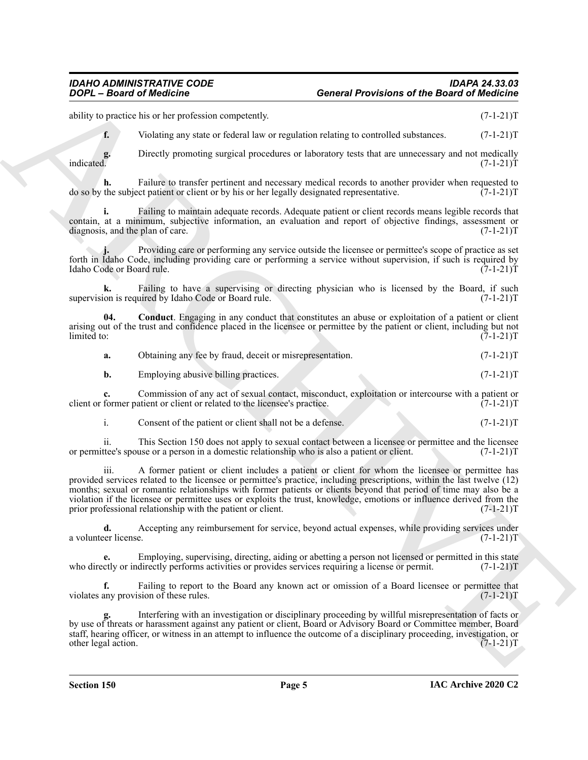#### *IDAHO ADMINISTRATIVE CODE IDAPA 24.33.03 DOPL – Board of Medicine General Provisions of the Board of Medicine*

ability to practice his or her profession competently. (7-1-21)T

**f.** Violating any state or federal law or regulation relating to controlled substances.  $(7-1-21)T$ 

**g.** Directly promoting surgical procedures or laboratory tests that are unnecessary and not medically indicated.  $(7-1-21)T$ indicated. (7-1-21)T

**h.** Failure to transfer pertinent and necessary medical records to another provider when requested to the subject patient or client or by his or her legally designated representative. (7-1-21) do so by the subject patient or client or by his or her legally designated representative.

**i.** Failing to maintain adequate records. Adequate patient or client records means legible records that contain, at a minimum, subjective information, an evaluation and report of objective findings, assessment or diagnosis, and the plan of care. (7-1-21) diagnosis, and the plan of care.

**j.** Providing care or performing any service outside the licensee or permittee's scope of practice as set forth in Idaho Code, including providing care or performing a service without supervision, if such is required by Idaho Code or Board rule. (7-1-21) Idaho Code or Board rule.

**k.** Failing to have a supervising or directing physician who is licensed by the Board, if such on is required by Idaho Code or Board rule. (7-1-21) supervision is required by Idaho Code or Board rule.

**04. Conduct**. Engaging in any conduct that constitutes an abuse or exploitation of a patient or client arising out of the trust and confidence placed in the licensee or permittee by the patient or client, including but not limited to:  $(7-1-21)$ limited to: (7-1-21)T

<span id="page-4-0"></span>

| а. | Obtaining any fee by fraud, deceit or misrepresentation. | $(7-1-21)T$ |
|----|----------------------------------------------------------|-------------|
|----|----------------------------------------------------------|-------------|

**b.** Employing abusive billing practices. (7-1-21)T

**c.** Commission of any act of sexual contact, misconduct, exploitation or intercourse with a patient or former patient or related to the licensee's practice. (7-1-21) client or former patient or client or related to the licensee's practice.

i. Consent of the patient or client shall not be a defense. (7-1-21)T

ii. This Section 150 does not apply to sexual contact between a licensee or permittee and the licensee tree's spouse or a person in a domestic relationship who is also a patient or client. (7-1-21) or permittee's spouse or a person in a domestic relationship who is also a patient or client.

**Goore – Brasid of Medicine – Concerta Providens of the Brasid of Medicine<br>
School Finance and Concertainty (a) the concertainty of the main of the state of the Concerta Concertainty<br>
Finance in the concertainty and the s** iii. A former patient or client includes a patient or client for whom the licensee or permittee has provided services related to the licensee or permittee's practice, including prescriptions, within the last twelve (12) months; sexual or romantic relationships with former patients or clients beyond that period of time may also be a violation if the licensee or permittee uses or exploits the trust, knowledge, emotions or influence derived from the prior professional relationship with the patient or client. (7-1-21)T

**d.** Accepting any reimbursement for service, beyond actual expenses, while providing services under license. (7-1-21)T a volunteer license.

**e.** Employing, supervising, directing, aiding or abetting a person not licensed or permitted in this state who directly or indirectly performs activities or provides services requiring a license or permit.  $(7-1-21)$ T

**f.** Failing to report to the Board any known act or omission of a Board licensee or permittee that any provision of these rules.  $(7-1-21)T$ violates any provision of these rules.

**g.** Interfering with an investigation or disciplinary proceeding by willful misrepresentation of facts or by use of threats or harassment against any patient or client, Board or Advisory Board or Committee member, Board staff, hearing officer, or witness in an attempt to influence the outcome of a disciplinary proceeding, investigation, or other legal action. other legal action.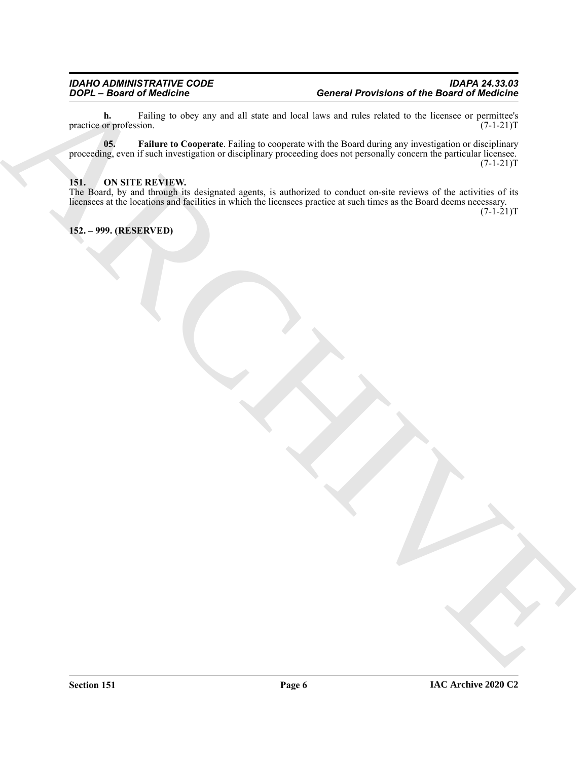<span id="page-5-2"></span>**h.** Failing to obey any and all state and local laws and rules related to the licensee or permittee's or profession.  $(7-1-21)$ practice or profession.

ARCHIVE **05. Failure to Cooperate**. Failing to cooperate with the Board during any investigation or disciplinary proceeding, even if such investigation or disciplinary proceeding does not personally concern the particular licensee.  $(7-1-21)T$ 

#### <span id="page-5-3"></span><span id="page-5-0"></span>**151. ON SITE REVIEW.**

The Board, by and through its designated agents, is authorized to conduct on-site reviews of the activities of its licensees at the locations and facilities in which the licensees practice at such times as the Board deems necessary.  $(7-1-21)T$ 

<span id="page-5-1"></span>**152. – 999. (RESERVED)**